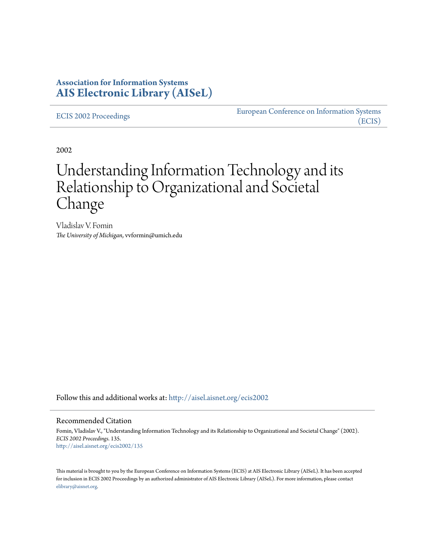### **Association for Information Systems [AIS Electronic Library \(AISeL\)](http://aisel.aisnet.org?utm_source=aisel.aisnet.org%2Fecis2002%2F135&utm_medium=PDF&utm_campaign=PDFCoverPages)**

[ECIS 2002 Proceedings](http://aisel.aisnet.org/ecis2002?utm_source=aisel.aisnet.org%2Fecis2002%2F135&utm_medium=PDF&utm_campaign=PDFCoverPages)

[European Conference on Information Systems](http://aisel.aisnet.org/ecis?utm_source=aisel.aisnet.org%2Fecis2002%2F135&utm_medium=PDF&utm_campaign=PDFCoverPages) [\(ECIS\)](http://aisel.aisnet.org/ecis?utm_source=aisel.aisnet.org%2Fecis2002%2F135&utm_medium=PDF&utm_campaign=PDFCoverPages)

2002

# Understanding Information Technology and its Relationship to Organizational and Societal Change

Vladislav V. Fomin *The University of Michigan*, vvformin@umich.edu

Follow this and additional works at: [http://aisel.aisnet.org/ecis2002](http://aisel.aisnet.org/ecis2002?utm_source=aisel.aisnet.org%2Fecis2002%2F135&utm_medium=PDF&utm_campaign=PDFCoverPages)

#### Recommended Citation

Fomin, Vladislav V., "Understanding Information Technology and its Relationship to Organizational and Societal Change" (2002). *ECIS 2002 Proceedings*. 135. [http://aisel.aisnet.org/ecis2002/135](http://aisel.aisnet.org/ecis2002/135?utm_source=aisel.aisnet.org%2Fecis2002%2F135&utm_medium=PDF&utm_campaign=PDFCoverPages)

This material is brought to you by the European Conference on Information Systems (ECIS) at AIS Electronic Library (AISeL). It has been accepted for inclusion in ECIS 2002 Proceedings by an authorized administrator of AIS Electronic Library (AISeL). For more information, please contact [elibrary@aisnet.org.](mailto:elibrary@aisnet.org%3E)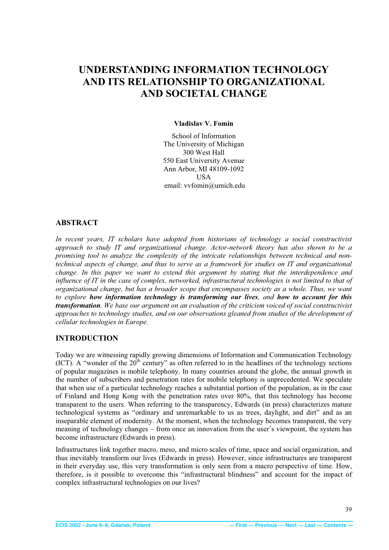## <span id="page-1-0"></span>**UNDERSTANDING INFORMATION TECHNOLOGY AND ITS RELATIONSHIP TO ORGANIZATIONAL AND SOCIETAL CHANGE**

#### **Vladislav V. Fomin**

School of Information The University of Michigan 300 West Hall 550 East University Avenue Ann Arbor, MI 48109-1092 USA email: vvfomin@umich.edu

#### **ABSTRACT**

*In recent years, IT scholars have adopted from historians of technology a social constructivist approach to study IT and organizational change. Actor-network theory has also shown to be a promising tool to analyze the complexity of the intricate relationships between technical and nontechnical aspects of change, and thus to serve as a framework for studies on IT and organizational change. In this paper we want to extend this argument by stating that the interdependence and influence of IT in the case of complex, networked, infrastructural technologies is not limited to that of organizational change, but has a broader scope that encompasses society as a whole. Thus, we want to explore how information technology is transforming our lives, and how to account for this transformation. We base our argument on an evaluation of the criticism voiced of social constructivist approaches to technology studies, and on our observations gleaned from studies of the development of cellular technologies in Europe.* 

#### **INTRODUCTION**

Today we are witnessing rapidly growing dimensions of Information and Communication Technology (ICT). A "wonder of the  $20<sup>th</sup>$  century" as often referred to in the headlines of the technology sections of popular magazines is mobile telephony. In many countries around the globe, the annual growth in the number of subscribers and penetration rates for mobile telephony is unprecedented. We speculate that when use of a particular technology reaches a substantial portion of the population, as in the case of Finland and Hong Kong with the penetration rates over 80%, that this technology has become transparent to the users. When referring to the transparency, Edwards (in press) characterizes mature technological systems as "ordinary and unremarkable to us as trees, daylight, and dirt" and as an inseparable element of modernity. At the moment, when the technology becomes transparent, the very meaning of technology changes – from once an innovation from the user's viewpoint, the system has become infrastructure (Edwards in press).

Infrastructures link together macro, meso, and micro scales of time, space and social organization, and thus inevitably transform our lives (Edwards in press). However, since infrastructures are transparent in their everyday use, this very transformation is only seen from a macro perspective of time. How, therefore, is it possible to overcome this "infrastructural blindness" and account for the impact of complex infrastructural technologies on our lives?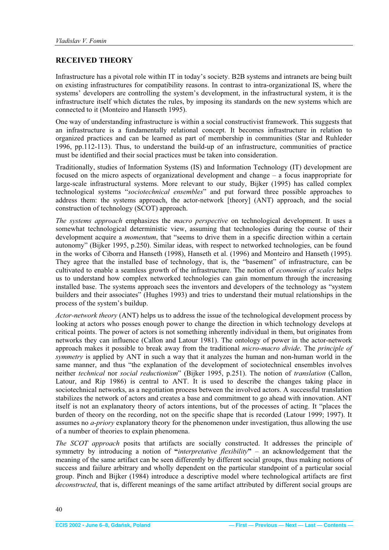#### <span id="page-2-0"></span>**RECEIVED THEORY**

Infrastructure has a pivotal role within IT in today's society. B2B systems and intranets are being built on existing infrastructures for compatibility reasons. In contrast to intra-organizational IS, where the systems' developers are controlling the system's development, in the infrastructural system, it is the infrastructure itself which dictates the rules, by imposing its standards on the new systems which are connected to it (Monteiro and Hanseth 1995).

One way of understanding infrastructure is within a social constructivist framework. This suggests that an infrastructure is a fundamentally relational concept. It becomes infrastructure in relation to organized practices and can be learned as part of membership in communities (Star and Ruhleder 1996, pp.112-113). Thus, to understand the build-up of an infrastructure, communities of practice must be identified and their social practices must be taken into consideration.

Traditionally, studies of Information Systems (IS) and Information Technology (IT) development are focused on the micro aspects of organizational development and change – a focus inappropriate for large-scale infrastructural systems. More relevant to our study, Bijker (1995) has called complex technological systems "*sociotechnical ensembles*" and put forward three possible approaches to address them: the systems approach, the actor-network [theory] (ANT) approach, and the social construction of technology (SCOT) approach.

*The systems approach* emphasizes the *macro perspective* on technological development. It uses a somewhat technological deterministic view, assuming that technologies during the course of their development acquire a *momentum*, that "seems to drive them in a specific direction within a certain autonomy" (Bijker 1995, p.250). Similar ideas, with respect to networked technologies, can be found in the works of Ciborra and Hanseth (1998), Hanseth et al. (1996) and Monteiro and Hanseth (1995). They agree that the installed base of technology, that is, the "basement" of infrastructure, can be cultivated to enable a seamless growth of the infrastructure. The notion of *economies of scales* helps us to understand how complex networked technologies can gain momentum through the increasing installed base. The systems approach sees the inventors and developers of the technology as "system builders and their associates" (Hughes 1993) and tries to understand their mutual relationships in the process of the system's buildup.

*Actor-network theory* (ANT) helps us to address the issue of the technological development process by looking at actors who posses enough power to change the direction in which technology develops at critical points. The power of actors is not something inherently individual in them, but originates from networks they can influence (Callon and Latour 1981). The ontology of power in the actor-network approach makes it possible to break away from the traditional *micro-macro divide*. The *principle of symmetry* is applied by ANT in such a way that it analyzes the human and non-human world in the same manner, and thus "the explanation of the development of sociotechnical ensembles involves neither *technical* nor *social reductionism*" (Bijker 1995, p.251). The notion of *translation* (Callon, Latour, and Rip 1986) is central to ANT. It is used to describe the changes taking place in sociotechnical networks, as a negotiation process between the involved actors. A successful translation stabilizes the network of actors and creates a base and commitment to go ahead with innovation. ANT itself is not an explanatory theory of actors intentions, but of the processes of acting. It "places the burden of theory on the recording, not on the specific shape that is recorded (Latour 1999; 1997). It assumes no *a-priory* explanatory theory for the phenomenon under investigation, thus allowing the use of a number of theories to explain phenomena.

*The SCOT approach* posits that artifacts are socially constructed. It addresses the principle of symmetry by introducing a notion of **"***interpretative flexibility***"** – an acknowledgement that the meaning of the same artifact can be seen differently by different social groups, thus making notions of success and failure arbitrary and wholly dependent on the particular standpoint of a particular social group. Pinch and Bijker (1984) introduce a descriptive model where technological artifacts are first *deconstructed*, that is, different meanings of the same artifact attributed by different social groups are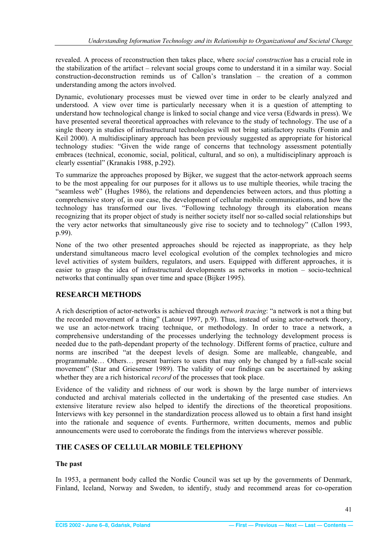<span id="page-3-0"></span>revealed. A process of reconstruction then takes place, where *social construction* has a crucial role in the stabilization of the artifact – relevant social groups come to understand it in a similar way. Social construction-deconstruction reminds us of Callon's translation – the creation of a common understanding among the actors involved.

Dynamic, evolutionary processes must be viewed over time in order to be clearly analyzed and understood. A view over time is particularly necessary when it is a question of attempting to understand how technological change is linked to social change and vice versa (Edwards in press). We have presented several theoretical approaches with relevance to the study of technology. The use of a single theory in studies of infrastructural technologies will not bring satisfactory results (Fomin and Keil 2000). A multidisciplinary approach has been previously suggested as appropriate for historical technology studies: "Given the wide range of concerns that technology assessment potentially embraces (technical, economic, social, political, cultural, and so on), a multidisciplinary approach is clearly essential" (Kranakis 1988, p.292).

To summarize the approaches proposed by Bijker, we suggest that the actor-network approach seems to be the most appealing for our purposes for it allows us to use multiple theories, while tracing the "seamless web" (Hughes 1986), the relations and dependencies between actors, and thus plotting a comprehensive story of, in our case, the development of cellular mobile communications, and how the technology has transformed our lives. "Following technology through its elaboration means recognizing that its proper object of study is neither society itself nor so-called social relationships but the very actor networks that simultaneously give rise to society and to technology" (Callon 1993, p.99).

None of the two other presented approaches should be rejected as inappropriate, as they help understand simultaneous macro level ecological evolution of the complex technologies and micro level activities of system builders, regulators, and users. Equipped with different approaches, it is easier to grasp the idea of infrastructural developments as networks in motion – socio-technical networks that continually span over time and space (Bijker 1995).

#### **RESEARCH METHODS**

A rich description of actor-networks is achieved through *network tracing*: "a network is not a thing but the recorded movement of a thing" (Latour 1997, p.9). Thus, instead of using actor-network theory, we use an actor-network tracing technique, or methodology. In order to trace a network, a comprehensive understanding of the processes underlying the technology development process is needed due to the path-dependant property of the technology. Different forms of practice, culture and norms are inscribed "at the deepest levels of design. Some are malleable, changeable, and programmable… Others… present barriers to users that may only be changed by a full-scale social movement" (Star and Griesemer 1989). The validity of our findings can be ascertained by asking whether they are a rich historical *record* of the processes that took place.

Evidence of the validity and richness of our work is shown by the large number of interviews conducted and archival materials collected in the undertaking of the presented case studies. An extensive literature review also helped to identify the directions of the theoretical propositions. Interviews with key personnel in the standardization process allowed us to obtain a first hand insight into the rationale and sequence of events. Furthermore, written documents, memos and public announcements were used to corroborate the findings from the interviews wherever possible.

#### **THE CASES OF CELLULAR MOBILE TELEPHONY**

#### **The past**

In 1953, a permanent body called the Nordic Council was set up by the governments of Denmark, Finland, Iceland, Norway and Sweden, to identify, study and recommend areas for co-operation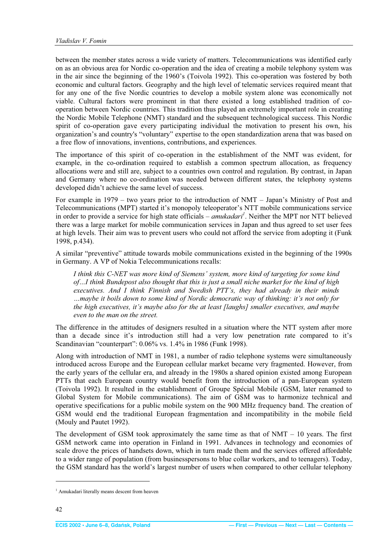<span id="page-4-0"></span>between the member states across a wide variety of matters. Telecommunications was identified early on as an obvious area for Nordic co-operation and the idea of creating a mobile telephony system was in the air since the beginning of the 1960's (Toivola 1992). This co-operation was fostered by both economic and cultural factors. Geography and the high level of telematic services required meant that for any one of the five Nordic countries to develop a mobile system alone was economically not viable. Cultural factors were prominent in that there existed a long established tradition of cooperation between Nordic countries. This tradition thus played an extremely important role in creating the Nordic Mobile Telephone (NMT) standard and the subsequent technological success. This Nordic spirit of co-operation gave every participating individual the motivation to present his own, his organization's and country's "voluntary" expertise to the open standardization arena that was based on a free flow of innovations, inventions, contributions, and experiences.

The importance of this spirit of co-operation in the establishment of the NMT was evident, for example, in the co-ordination required to establish a common spectrum allocation, as frequency allocations were and still are, subject to a countries own control and regulation. By contrast, in Japan and Germany where no co-ordination was needed between different states, the telephony systems developed didn't achieve the same level of success.

For example in 1979 – two years prior to the introduction of NMT – Japan's Ministry of Post and Telecommunications (MPT) started it's monopoly teleoperator's NTT mobile communications service in order to provide a service for high state officials – *amukadari<sup>1</sup>* . Neither the MPT nor NTT believed there was a large market for mobile communication services in Japan and thus agreed to set user fees at high levels. Their aim was to prevent users who could not afford the service from adopting it (Funk 1998, p.434).

A similar "preventive" attitude towards mobile communications existed in the beginning of the 1990s in Germany. A VP of Nokia Telecommunications recalls:

*I think this C-NET was more kind of Siemens' system, more kind of targeting for some kind of…I think Bundepost also thought that this is just a small niche market for the kind of high executives. And I think Finnish and Swedish PTT's, they had already in their minds …maybe it boils down to some kind of Nordic democratic way of thinking: it's not only for the high executives, it's maybe also for the at least [laughs] smaller executives, and maybe even to the man on the street.* 

The difference in the attitudes of designers resulted in a situation where the NTT system after more than a decade since it's introduction still had a very low penetration rate compared to it's Scandinavian "counterpart": 0.06% vs. 1.4% in 1986 (Funk 1998).

Along with introduction of NMT in 1981, a number of radio telephone systems were simultaneously introduced across Europe and the European cellular market became very fragmented. However, from the early years of the cellular era, and already in the 1980s a shared opinion existed among European PTTs that each European country would benefit from the introduction of a pan-European system (Toivola 1992). It resulted in the establishment of Groupe Spécial Mobile (GSM, later renamed to Global System for Mobile communications). The aim of GSM was to harmonize technical and operative specifications for a public mobile system on the 900 MHz frequency band. The creation of GSM would end the traditional European fragmentation and incompatibility in the mobile field (Mouly and Pautet 1992).

The development of GSM took approximately the same time as that of  $NMT - 10$  years. The first GSM network came into operation in Finland in 1991. Advances in technology and economies of scale drove the prices of handsets down, which in turn made them and the services offered affordable to a wider range of population (from businesspersons to blue collar workers, and to teenagers). Today, the GSM standard has the world's largest number of users when compared to other cellular telephony

<sup>&</sup>lt;sup>1</sup> Amukadari literally means descent from heaven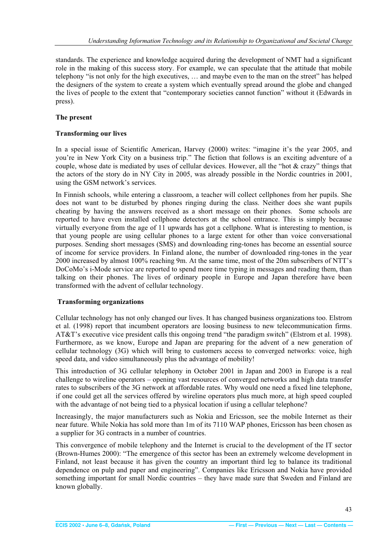<span id="page-5-0"></span>standards. The experience and knowledge acquired during the development of NMT had a significant role in the making of this success story. For example, we can speculate that the attitude that mobile telephony "is not only for the high executives, … and maybe even to the man on the street" has helped the designers of the system to create a system which eventually spread around the globe and changed the lives of people to the extent that "contemporary societies cannot function" without it (Edwards in press).

#### **The present**

#### **Transforming our lives**

In a special issue of Scientific American, Harvey (2000) writes: "imagine it's the year 2005, and you're in New York City on a business trip." The fiction that follows is an exciting adventure of a couple, whose date is mediated by uses of cellular devices. However, all the "hot & crazy" things that the actors of the story do in NY City in 2005, was already possible in the Nordic countries in 2001, using the GSM network's services.

In Finnish schools, while entering a classroom, a teacher will collect cellphones from her pupils. She does not want to be disturbed by phones ringing during the class. Neither does she want pupils cheating by having the answers received as a short message on their phones. Some schools are reported to have even installed cellphone detectors at the school entrance. This is simply because virtually everyone from the age of 11 upwards has got a cellphone. What is interesting to mention, is that young people are using cellular phones to a large extent for other than voice conversational purposes. Sending short messages (SMS) and downloading ring-tones has become an essential source of income for service providers. In Finland alone, the number of downloaded ring-tones in the year 2000 increased by almost 100% reaching 9m. At the same time, most of the 20m subscribers of NTT's DoCoMo's i-Mode service are reported to spend more time typing in messages and reading them, than talking on their phones. The lives of ordinary people in Europe and Japan therefore have been transformed with the advent of cellular technology.

#### **Transforming organizations**

Cellular technology has not only changed our lives. It has changed business organizations too. Elstrom et al. (1998) report that incumbent operators are loosing business to new telecommunication firms. AT&T's executive vice president calls this ongoing trend "the paradigm switch" (Elstrom et al. 1998). Furthermore, as we know, Europe and Japan are preparing for the advent of a new generation of cellular technology (3G) which will bring to customers access to converged networks: voice, high speed data, and video simultaneously plus the advantage of mobility!

This introduction of 3G cellular telephony in October 2001 in Japan and 2003 in Europe is a real challenge to wireline operators – opening vast resources of converged networks and high data transfer rates to subscribers of the 3G network at affordable rates. Why would one need a fixed line telephone, if one could get all the services offered by wireline operators plus much more, at high speed coupled with the advantage of not being tied to a physical location if using a cellular telephone?

Increasingly, the major manufacturers such as Nokia and Ericsson, see the mobile Internet as their near future. While Nokia has sold more than 1m of its 7110 WAP phones, Ericsson has been chosen as a supplier for 3G contracts in a number of countries.

This convergence of mobile telephony and the Internet is crucial to the development of the IT sector (Brown-Humes 2000): "The emergence of this sector has been an extremely welcome development in Finland, not least because it has given the country an important third leg to balance its traditional dependence on pulp and paper and engineering". Companies like Ericsson and Nokia have provided something important for small Nordic countries – they have made sure that Sweden and Finland are known globally.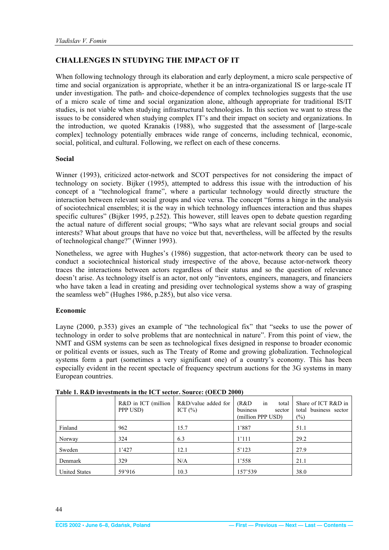#### <span id="page-6-0"></span>**CHALLENGES IN STUDYING THE IMPACT OF IT**

When following technology through its elaboration and early deployment, a micro scale perspective of time and social organization is appropriate, whether it be an intra-organizational IS or large-scale IT under investigation. The path- and choice-dependence of complex technologies suggests that the use of a micro scale of time and social organization alone, although appropriate for traditional IS/IT studies, is not viable when studying infrastructural technologies. In this section we want to stress the issues to be considered when studying complex IT's and their impact on society and organizations. In the introduction, we quoted Kranakis (1988), who suggested that the assessment of [large-scale complex] technology potentially embraces wide range of concerns, including technical, economic, social, political, and cultural. Following, we reflect on each of these concerns.

#### **Social**

Winner (1993), criticized actor-network and SCOT perspectives for not considering the impact of technology on society. Bijker (1995), attempted to address this issue with the introduction of his concept of a "technological frame", where a particular technology would directly structure the interaction between relevant social groups and vice versa. The concept "forms a hinge in the analysis of sociotechnical ensembles; it is the way in which technology influences interaction and thus shapes specific cultures" (Bijker 1995, p.252). This however, still leaves open to debate question regarding the actual nature of different social groups; "Who says what are relevant social groups and social interests? What about groups that have no voice but that, nevertheless, will be affected by the results of technological change?" (Winner 1993).

Nonetheless, we agree with Hughes's (1986) suggestion, that actor-network theory can be used to conduct a sociotechnical historical study irrespective of the above, because actor-network theory traces the interactions between actors regardless of their status and so the question of relevance doesn't arise. As technology itself is an actor, not only "inventors, engineers, managers, and financiers who have taken a lead in creating and presiding over technological systems show a way of grasping the seamless web" (Hughes 1986, p.285), but also vice versa.

#### **Economic**

Layne (2000, p.353) gives an example of "the technological fix" that "seeks to use the power of technology in order to solve problems that are nontechnical in nature". From this point of view, the NMT and GSM systems can be seen as technological fixes designed in response to broader economic or political events or issues, such as The Treaty of Rome and growing globalization. Technological systems form a part (sometimes a very significant one) of a country's economy. This has been especially evident in the recent spectacle of frequency spectrum auctions for the 3G systems in many European countries.

|                      | $R&D$ in ICT (million<br>PPP USD) | R&D/value added for<br>ICT $(\% )$ | (R&D)<br>in<br>total<br>business<br>sector<br>(million PPP USD) | Share of ICT R&D in<br>total business sector<br>$(\%)$ |
|----------------------|-----------------------------------|------------------------------------|-----------------------------------------------------------------|--------------------------------------------------------|
| Finland              | 962                               | 15.7                               | 1'887                                                           | 51.1                                                   |
| Norway               | 324                               | 6.3                                | 1'111                                                           | 29.2                                                   |
| Sweden               | 1'427                             | 12.1                               | 5'123                                                           | 27.9                                                   |
| Denmark              | 329                               | N/A                                | 1'558                                                           | 21.1                                                   |
| <b>United States</b> | 59'916                            | 10.3                               | 157'539                                                         | 38.0                                                   |

**Table 1. R&D investments in the ICT sector. Source: (OECD 2000)**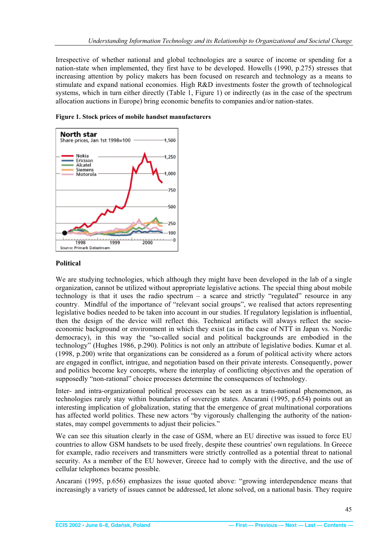<span id="page-7-0"></span>Irrespective of whether national and global technologies are a source of income or spending for a nation-state when implemented, they first have to be developed. Howells (1990, p.275) stresses that increasing attention by policy makers has been focused on research and technology as a means to stimulate and expand national economies. High R&D investments foster the growth of technological systems, which in turn either directly (Table 1, Figure 1) or indirectly (as in the case of the spectrum allocation auctions in Europe) bring economic benefits to companies and/or nation-states.



**Figure 1. Stock prices of mobile handset manufacturers** 

#### **Political**

We are studying technologies, which although they might have been developed in the lab of a single organization, cannot be utilized without appropriate legislative actions. The special thing about mobile technology is that it uses the radio spectrum  $-$  a scarce and strictly "regulated" resource in any country. Mindful of the importance of "relevant social groups", we realised that actors representing legislative bodies needed to be taken into account in our studies. If regulatory legislation is influential, then the design of the device will reflect this. Technical artifacts will always reflect the socioeconomic background or environment in which they exist (as in the case of NTT in Japan vs. Nordic democracy), in this way the "so-called social and political backgrounds are embodied in the technology" (Hughes 1986, p.290). Politics is not only an attribute of legislative bodies. Kumar et al. (1998, p.200) write that organizations can be considered as a forum of political activity where actors are engaged in conflict, intrigue, and negotiation based on their private interests. Consequently, power and politics become key concepts, where the interplay of conflicting objectives and the operation of supposedly "non-rational" choice processes determine the consequences of technology.

Inter- and intra-organizational political processes can be seen as a trans-national phenomenon, as technologies rarely stay within boundaries of sovereign states. Ancarani (1995, p.654) points out an interesting implication of globalization, stating that the emergence of great multinational corporations has affected world politics. These new actors "by vigorously challenging the authority of the nationstates, may compel governments to adjust their policies."

We can see this situation clearly in the case of GSM, where an EU directive was issued to force EU countries to allow GSM handsets to be used freely, despite these countries' own regulations. In Greece for example, radio receivers and transmitters were strictly controlled as a potential threat to national security. As a member of the EU however, Greece had to comply with the directive, and the use of cellular telephones became possible.

Ancarani (1995, p.656) emphasizes the issue quoted above: "growing interdependence means that increasingly a variety of issues cannot be addressed, let alone solved, on a national basis. They require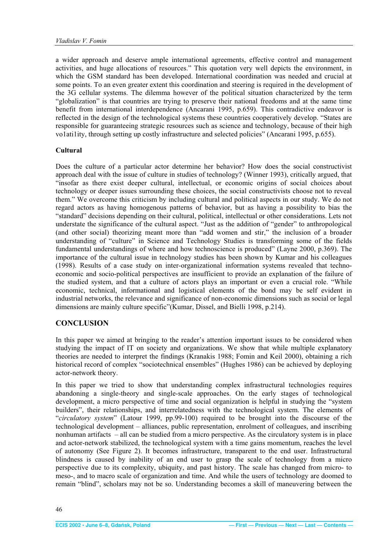<span id="page-8-0"></span>a wider approach and deserve ample international agreements, effective control and management activities, and huge allocations of resources." This quotation very well depicts the environment, in which the GSM standard has been developed. International coordination was needed and crucial at some points. To an even greater extent this coordination and steering is required in the development of the 3G cellular systems. The dilemma however of the political situation characterized by the term "globalization" is that countries are trying to preserve their national freedoms and at the same time benefit from international interdependence (Ancarani 1995, p.659). This contradictive endeavor is reflected in the design of the technological systems these countries cooperatively develop. "States are responsible for guaranteeing strategic resources such as science and technology, because of their high vo1ati1ity, through setting up costly infrastructure and selected policies" (Ancarani 1995, p.655).

#### **Cultural**

Does the culture of a particular actor determine her behavior? How does the social constructivist approach deal with the issue of culture in studies of technology? (Winner 1993), critically argued, that "insofar as there exist deeper cultural, intellectual, or economic origins of social choices about technology or deeper issues surrounding these choices, the social constructivists choose not to reveal them." We overcome this criticism by including cultural and political aspects in our study. We do not regard actors as having homogenous patterns of behavior, but as having a possibility to bias the "standard" decisions depending on their cultural, political, intellectual or other considerations. Lets not understate the significance of the cultural aspect. "Just as the addition of "gender" to anthropological (and other social) theorizing meant more than "add women and stir," the inclusion of a broader understanding of "culture" in Science and Technology Studies is transforming some of the fields fundamental understandings of where and how technoscience is produced" (Layne 2000, p.369). The importance of the cultural issue in technology studies has been shown by Kumar and his colleagues (1998). Results of a case study on inter-organizational information systems revealed that technoeconomic and socio-political perspectives are insufficient to provide an explanation of the failure of the studied system, and that a culture of actors plays an important or even a crucial role. "While economic, technical, informational and logistical elements of the bond may be self evident in industrial networks, the relevance and significance of non-economic dimensions such as social or legal dimensions are mainly culture specific"(Kumar, Dissel, and Bielli 1998, p.214).

#### **CONCLUSION**

In this paper we aimed at bringing to the reader's attention important issues to be considered when studying the impact of IT on society and organizations. We show that while multiple explanatory theories are needed to interpret the findings (Kranakis 1988; Fomin and Keil 2000), obtaining a rich historical record of complex "sociotechnical ensembles" (Hughes 1986) can be achieved by deploying actor-network theory.

In this paper we tried to show that understanding complex infrastructural technologies requires abandoning a single-theory and single-scale approaches. On the early stages of technological development, a micro perspective of time and social organization is helpful in studying the "system builders", their relationships, and interrelatedness with the technological system. The elements of "*circulatory system*" (Latour 1999, pp.99-100) required to be brought into the discourse of the technological development – alliances, public representation, enrolment of colleagues, and inscribing nonhuman artifacts – all can be studied from a micro perspective. As the circulatory system is in place and actor-network stabilized, the technological system with a time gains momentum, reaches the level of autonomy (See Figure 2). It becomes infrastructure, transparent to the end user. Infrastructural blindness is caused by inability of an end user to grasp the scale of technology from a micro perspective due to its complexity, ubiquity, and past history. The scale has changed from micro- to meso-, and to macro scale of organization and time. And while the users of technology are doomed to remain "blind", scholars may not be so. Understanding becomes a skill of maneuvering between the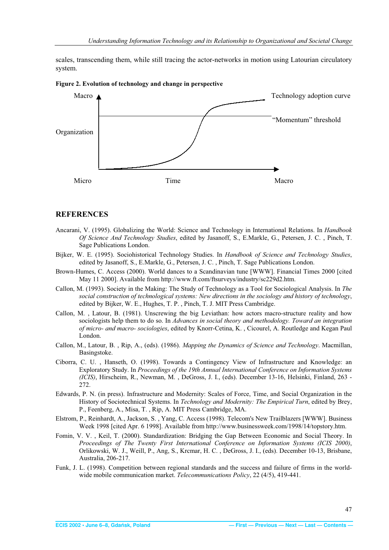<span id="page-9-0"></span>scales, transcending them, while still tracing the actor-networks in motion using Latourian circulatory system.





#### **REFERENCES**

- Ancarani, V. (1995). Globalizing the World: Science and Technology in International Relations. In *Handbook Of Science And Technology Studies*, edited by Jasanoff, S., E.Markle, G., Petersen, J. C. , Pinch, T. Sage Publications London.
- Bijker, W. E. (1995). Sociohistorical Technology Studies. In *Handbook of Science and Technology Studies*, edited by Jasanoff, S., E.Markle, G., Petersen, J. C. , Pinch, T. Sage Publications London.
- Brown-Humes, C. Access (2000). World dances to a Scandinavian tune [WWW]. Financial Times 2000 [cited May 11 2000]. Available from http://www.ft.com/ftsurveys/industry/sc229d2.htm.
- Callon, M. (1993). Society in the Making: The Study of Technology as a Tool for Sociological Analysis. In *The social construction of technological systems: New directions in the sociology and history of technology*, edited by Bijker, W. E., Hughes, T. P. , Pinch, T. J. MIT Press Cambridge.
- Callon, M. , Latour, B. (1981). Unscrewing the big Leviathan: how actors macro-structure reality and how sociologists help them to do so. In *Advances in social theory and methodology. Toward an integration of micro- and macro- sociologies*, edited by Knorr-Cetina, K. , Cicourel, A. Routledge and Kegan Paul London.
- Callon, M., Latour, B. , Rip, A., (eds). (1986). *Mapping the Dynamics of Science and Technology*. Macmillan, Basingstoke.
- Ciborra, C. U. , Hanseth, O. (1998). Towards a Contingency View of Infrastructure and Knowledge: an Exploratory Study. In *Proceedings of the 19th Annual International Conference on Information Systems (ICIS)*, Hirscheim, R., Newman, M. , DeGross, J. I., (eds). December 13-16, Helsinki, Finland, 263 - 272.
- Edwards, P. N. (in press). Infrastructure and Modernity: Scales of Force, Time, and Social Organization in the History of Sociotechnical Systems. In *Technology and Modernity: The Empirical Turn*, edited by Brey, P., Feenberg, A., Misa, T. , Rip, A. MIT Press Cambridge, MA.
- Elstrom, P., Reinhardt, A., Jackson, S. , Yang, C. Access (1998). Telecom's New Trailblazers [WWW]. Business Week 1998 [cited Apr. 6 1998]. Available from http://www.businessweek.com/1998/14/topstory.htm.
- Fomin, V. V. , Keil, T. (2000). Standardization: Bridging the Gap Between Economic and Social Theory. In *Proceedings of The Twenty First International Conference on Information Systems (ICIS 2000)*, Orlikowski, W. J., Weill, P., Ang, S., Krcmar, H. C. , DeGross, J. I., (eds). December 10-13, Brisbane, Australia, 206-217.
- Funk, J. L. (1998). Competition between regional standards and the success and failure of firms in the worldwide mobile communication market. *Telecommunications Policy*, 22 (4/5), 419-441.